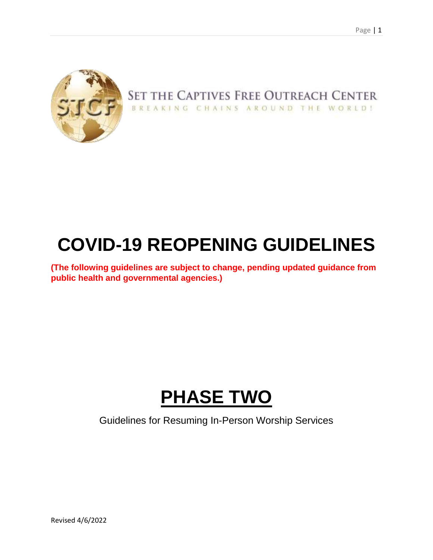

## SET THE CAPTIVES FREE OUTREACH CENTER BREAKING CHAINS AROUND THE WORLD!

# **COVID-19 REOPENING GUIDELINES**

**(The following guidelines are subject to change, pending updated guidance from public health and governmental agencies.)**

# **PHASE TWO**

Guidelines for Resuming In-Person Worship Services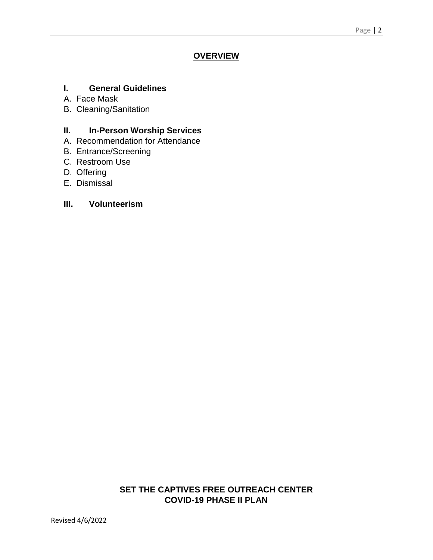## **OVERVIEW**

### **I. General Guidelines**

- A. Face Mask
- B. Cleaning/Sanitation

## **II. In-Person Worship Services**

- A. Recommendation for Attendance
- B. Entrance/Screening
- C. Restroom Use
- D. Offering
- E. Dismissal

#### **III. Volunteerism**

## **SET THE CAPTIVES FREE OUTREACH CENTER COVID-19 PHASE II PLAN**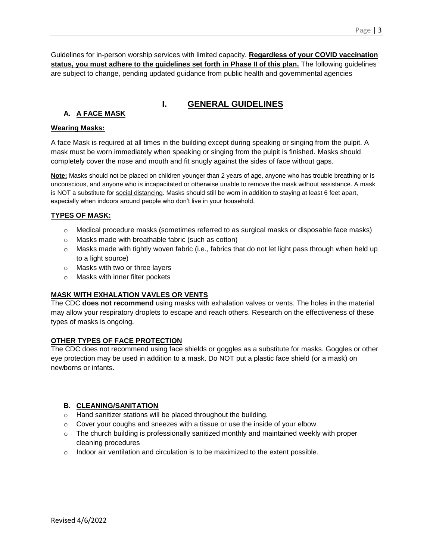Guidelines for in-person worship services with limited capacity. **Regardless of your COVID vaccination status, you must adhere to the guidelines set forth in Phase II of this plan.** The following guidelines are subject to change, pending updated guidance from public health and governmental agencies

### **I. GENERAL GUIDELINES**

## **A. A FACE MASK**

#### **Wearing Masks:**

A face Mask is required at all times in the building except during speaking or singing from the pulpit. A mask must be worn immediately when speaking or singing from the pulpit is finished. Masks should completely cover the nose and mouth and fit snugly against the sides of face without gaps.

**Note:** Masks should not be placed on children younger than 2 years of age, anyone who has trouble breathing or is unconscious, and anyone who is incapacitated or otherwise unable to remove the mask without assistance. A mask is NOT a substitute for social distancing. Masks should still be worn in addition to staying at least 6 feet apart, especially when indoors around people who don't live in your household.

#### **TYPES OF MASK:**

- $\circ$  Medical procedure masks (sometimes referred to as surgical masks or disposable face masks)
- o Masks made with breathable fabric (such as cotton)
- o Masks made with tightly woven fabric (i.e., fabrics that do not let light pass through when held up to a light source)
- o Masks with two or three layers
- o Masks with inner filter pockets

#### **MASK WITH EXHALATION VAVLES OR VENTS**

The CDC **does not recommend** using masks with exhalation valves or vents. The holes in the material may allow your respiratory droplets to escape and reach others. Research on the effectiveness of these types of masks is ongoing.

#### **OTHER TYPES OF FACE PROTECTION**

The CDC does not recommend using face shields or goggles as a substitute for masks. Goggles or other eye protection may be used in addition to a mask. Do NOT put a plastic face shield (or a mask) on newborns or infants.

#### **B. CLEANING/SANITATION**

- o Hand sanitizer stations will be placed throughout the building.
- o Cover your coughs and sneezes with a tissue or use the inside of your elbow.
- $\circ$  The church building is professionally sanitized monthly and maintained weekly with proper cleaning procedures
- $\circ$  Indoor air ventilation and circulation is to be maximized to the extent possible.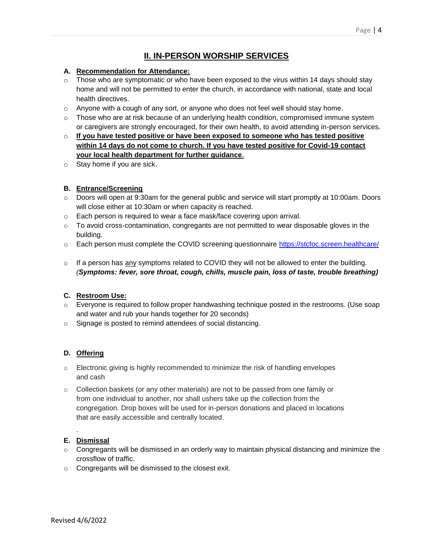## **II. IN-PERSON WORSHIP SERVICES**

#### **A. Recommendation for Attendance:**

- $\circ$  Those who are symptomatic or who have been exposed to the virus within 14 days should stay home and will not be permitted to enter the church, in accordance with national, state and local health directives.
- $\circ$  Anyone with a cough of any sort, or anyone who does not feel well should stay home.
- $\circ$  Those who are at risk because of an underlying health condition, compromised immune system or caregivers are strongly encouraged, for their own health, to avoid attending in-person services.
- o **If you have tested positive or have been exposed to someone who has tested positive within 14 days do not come to church. If you have tested positive for Covid-19 contact your local health department for further guidance.**
- $\circ$  Stay home if you are sick.

#### **B. Entrance/Screening**

- o Doors will open at 9:30am for the general public and service will start promptly at 10:00am. Doors will close either at 10:30am or when capacity is reached.
- $\circ$  Each person is required to wear a face mask/face covering upon arrival.
- $\circ$  To avoid cross-contamination, congregants are not permitted to wear disposable gloves in the building.
- o Each person must complete the COVID screening questionnaire<https://stcfoc.screen.healthcare/>
- $\circ$  If a person has any symptoms related to COVID they will not be allowed to enter the building. *(Symptoms: fever, sore throat, cough, chills, muscle pain, loss of taste, trouble breathing)*

#### **C. Restroom Use:**

- $\circ$  Everyone is required to follow proper handwashing technique posted in the restrooms. (Use soap and water and rub your hands together for 20 seconds)
- o Signage is posted to remind attendees of social distancing.

#### **D. Offering**

- $\circ$  Electronic giving is highly recommended to minimize the risk of handling envelopes and cash
- $\circ$  Collection baskets (or any other materials) are not to be passed from one family or from one individual to another, nor shall ushers take up the collection from the congregation. Drop boxes will be used for in-person donations and placed in locations that are easily accessible and centrally located.

#### **E. Dismissal**

.

- $\circ$  Congregants will be dismissed in an orderly way to maintain physical distancing and minimize the crossflow of traffic.
- o Congregants will be dismissed to the closest exit.